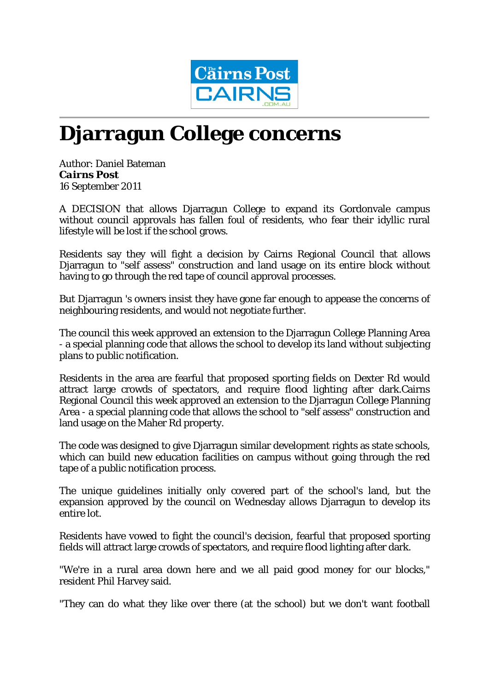

## **Djarragun College concerns**

Author: Daniel Bateman *Cairns Post* 16 September 2011

A DECISION that allows Djarragun College to expand its Gordonvale campus without council approvals has fallen foul of residents, who fear their idyllic rural lifestyle will be lost if the school grows.

Residents say they will fight a decision by Cairns Regional Council that allows Djarragun to "self assess" construction and land usage on its entire block without having to go through the red tape of council approval processes.

But Djarragun 's owners insist they have gone far enough to appease the concerns of neighbouring residents, and would not negotiate further.

The council this week approved an extension to the Djarragun College Planning Area - a special planning code that allows the school to develop its land without subjecting plans to public notification.

Residents in the area are fearful that proposed sporting fields on Dexter Rd would attract large crowds of spectators, and require flood lighting after dark.Cairns Regional Council this week approved an extension to the Djarragun College Planning Area - a special planning code that allows the school to "self assess" construction and land usage on the Maher Rd property.

The code was designed to give Djarragun similar development rights as state schools, which can build new education facilities on campus without going through the red tape of a public notification process.

The unique guidelines initially only covered part of the school's land, but the expansion approved by the council on Wednesday allows Djarragun to develop its entire lot.

Residents have vowed to fight the council's decision, fearful that proposed sporting fields will attract large crowds of spectators, and require flood lighting after dark.

"We're in a rural area down here and we all paid good money for our blocks," resident Phil Harvey said.

"They can do what they like over there (at the school) but we don't want football